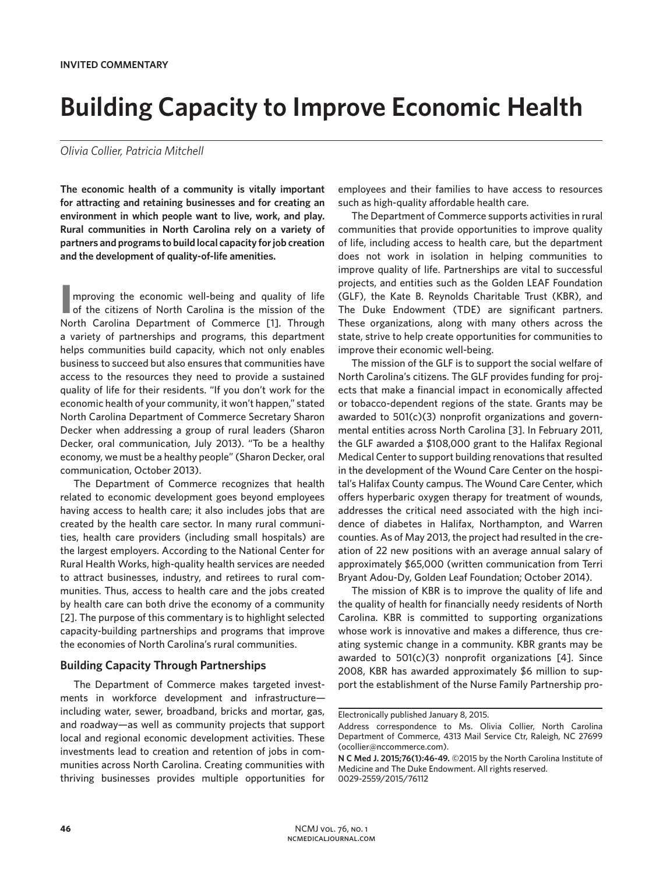# **Building Capacity to Improve Economic Health**

### *Olivia Collier, Patricia Mitchell*

**The economic health of a community is vitally important for attracting and retaining businesses and for creating an environment in which people want to live, work, and play. Rural communities in North Carolina rely on a variety of partners and programs to build local capacity for job creation and the development of quality-of-life amenities.** 

**I** of the citizens of North Carolina is the mission of the mproving the economic well-being and quality of life North Carolina Department of Commerce [1]. Through a variety of partnerships and programs, this department helps communities build capacity, which not only enables business to succeed but also ensures that communities have access to the resources they need to provide a sustained quality of life for their residents. "If you don't work for the economic health of your community, it won't happen," stated North Carolina Department of Commerce Secretary Sharon Decker when addressing a group of rural leaders (Sharon Decker, oral communication, July 2013). "To be a healthy economy, we must be a healthy people" (Sharon Decker, oral communication, October 2013).

The Department of Commerce recognizes that health related to economic development goes beyond employees having access to health care; it also includes jobs that are created by the health care sector. In many rural communities, health care providers (including small hospitals) are the largest employers. According to the National Center for Rural Health Works, high-quality health services are needed to attract businesses, industry, and retirees to rural communities. Thus, access to health care and the jobs created by health care can both drive the economy of a community [2]. The purpose of this commentary is to highlight selected capacity-building partnerships and programs that improve the economies of North Carolina's rural communities.

#### **Building Capacity Through Partnerships**

The Department of Commerce makes targeted investments in workforce development and infrastructure including water, sewer, broadband, bricks and mortar, gas, and roadway—as well as community projects that support local and regional economic development activities. These investments lead to creation and retention of jobs in communities across North Carolina. Creating communities with thriving businesses provides multiple opportunities for

employees and their families to have access to resources such as high-quality affordable health care.

The Department of Commerce supports activities in rural communities that provide opportunities to improve quality of life, including access to health care, but the department does not work in isolation in helping communities to improve quality of life. Partnerships are vital to successful projects, and entities such as the Golden LEAF Foundation (GLF), the Kate B. Reynolds Charitable Trust (KBR), and The Duke Endowment (TDE) are significant partners. These organizations, along with many others across the state, strive to help create opportunities for communities to improve their economic well-being.

The mission of the GLF is to support the social welfare of North Carolina's citizens. The GLF provides funding for projects that make a financial impact in economically affected or tobacco-dependent regions of the state. Grants may be awarded to 501(c)(3) nonprofit organizations and governmental entities across North Carolina [3]. In February 2011, the GLF awarded a \$108,000 grant to the Halifax Regional Medical Center to support building renovations that resulted in the development of the Wound Care Center on the hospital's Halifax County campus. The Wound Care Center, which offers hyperbaric oxygen therapy for treatment of wounds, addresses the critical need associated with the high incidence of diabetes in Halifax, Northampton, and Warren counties. As of May 2013, the project had resulted in the creation of 22 new positions with an average annual salary of approximately \$65,000 (written communication from Terri Bryant Adou-Dy, Golden Leaf Foundation; October 2014).

The mission of KBR is to improve the quality of life and the quality of health for financially needy residents of North Carolina. KBR is committed to supporting organizations whose work is innovative and makes a difference, thus creating systemic change in a community. KBR grants may be awarded to 501(c)(3) nonprofit organizations [4]. Since 2008, KBR has awarded approximately \$6 million to support the establishment of the Nurse Family Partnership pro-

Electronically published January 8, 2015.

Address correspondence to Ms. Olivia Collier, North Carolina Department of Commerce, 4313 Mail Service Ctr, Raleigh, NC 27699 (ocollier@nccommerce.com).

**N C Med J. 2015;76(1):46-49.** ©2015 by the North Carolina Institute of Medicine and The Duke Endowment. All rights reserved. 0029-2559/2015/76112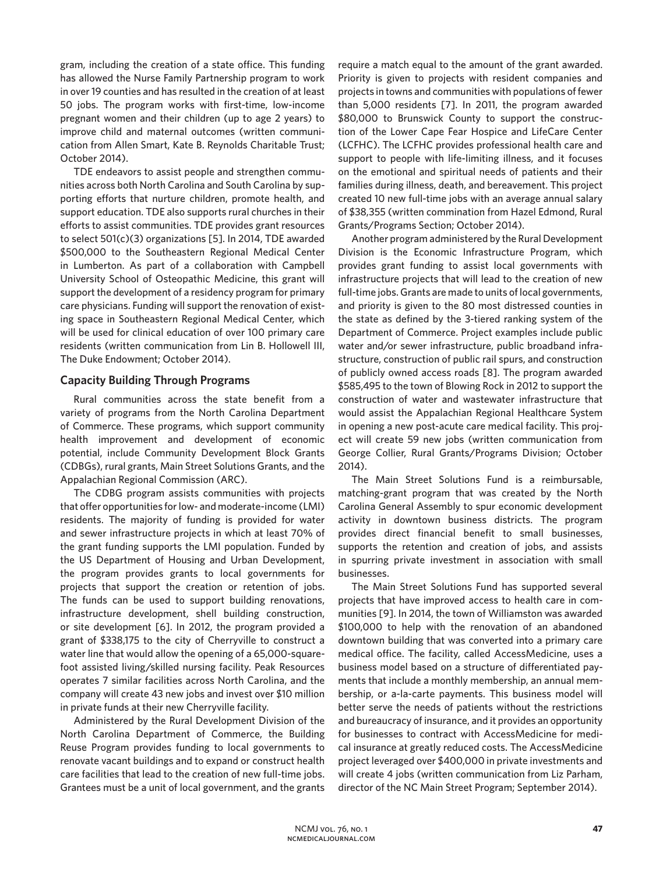gram, including the creation of a state office. This funding has allowed the Nurse Family Partnership program to work in over 19 counties and has resulted in the creation of at least 50 jobs. The program works with first-time, low-income pregnant women and their children (up to age 2 years) to improve child and maternal outcomes (written communication from Allen Smart, Kate B. Reynolds Charitable Trust; October 2014).

TDE endeavors to assist people and strengthen communities across both North Carolina and South Carolina by supporting efforts that nurture children, promote health, and support education. TDE also supports rural churches in their efforts to assist communities. TDE provides grant resources to select 501(c)(3) organizations [5]. In 2014, TDE awarded \$500,000 to the Southeastern Regional Medical Center in Lumberton. As part of a collaboration with Campbell University School of Osteopathic Medicine, this grant will support the development of a residency program for primary care physicians. Funding will support the renovation of existing space in Southeastern Regional Medical Center, which will be used for clinical education of over 100 primary care residents (written communication from Lin B. Hollowell III, The Duke Endowment; October 2014).

## **Capacity Building Through Programs**

Rural communities across the state benefit from a variety of programs from the North Carolina Department of Commerce. These programs, which support community health improvement and development of economic potential, include Community Development Block Grants (CDBGs), rural grants, Main Street Solutions Grants, and the Appalachian Regional Commission (ARC).

The CDBG program assists communities with projects that offer opportunities for low- and moderate-income (LMI) residents. The majority of funding is provided for water and sewer infrastructure projects in which at least 70% of the grant funding supports the LMI population. Funded by the US Department of Housing and Urban Development, the program provides grants to local governments for projects that support the creation or retention of jobs. The funds can be used to support building renovations, infrastructure development, shell building construction, or site development [6]. In 2012, the program provided a grant of \$338,175 to the city of Cherryville to construct a water line that would allow the opening of a 65,000-squarefoot assisted living/skilled nursing facility. Peak Resources operates 7 similar facilities across North Carolina, and the company will create 43 new jobs and invest over \$10 million in private funds at their new Cherryville facility.

Administered by the Rural Development Division of the North Carolina Department of Commerce, the Building Reuse Program provides funding to local governments to renovate vacant buildings and to expand or construct health care facilities that lead to the creation of new full-time jobs. Grantees must be a unit of local government, and the grants require a match equal to the amount of the grant awarded. Priority is given to projects with resident companies and projects in towns and communities with populations of fewer than 5,000 residents [7]. In 2011, the program awarded \$80,000 to Brunswick County to support the construction of the Lower Cape Fear Hospice and LifeCare Center (LCFHC). The LCFHC provides professional health care and support to people with life-limiting illness, and it focuses on the emotional and spiritual needs of patients and their families during illness, death, and bereavement. This project created 10 new full-time jobs with an average annual salary of \$38,355 (written commination from Hazel Edmond, Rural Grants/Programs Section; October 2014).

Another program administered by the Rural Development Division is the Economic Infrastructure Program, which provides grant funding to assist local governments with infrastructure projects that will lead to the creation of new full-time jobs. Grants are made to units of local governments, and priority is given to the 80 most distressed counties in the state as defined by the 3-tiered ranking system of the Department of Commerce. Project examples include public water and/or sewer infrastructure, public broadband infrastructure, construction of public rail spurs, and construction of publicly owned access roads [8]. The program awarded \$585,495 to the town of Blowing Rock in 2012 to support the construction of water and wastewater infrastructure that would assist the Appalachian Regional Healthcare System in opening a new post-acute care medical facility. This project will create 59 new jobs (written communication from George Collier, Rural Grants/Programs Division; October 2014).

The Main Street Solutions Fund is a reimbursable, matching-grant program that was created by the North Carolina General Assembly to spur economic development activity in downtown business districts. The program provides direct financial benefit to small businesses, supports the retention and creation of jobs, and assists in spurring private investment in association with small businesses.

The Main Street Solutions Fund has supported several projects that have improved access to health care in communities [9]. In 2014, the town of Williamston was awarded \$100,000 to help with the renovation of an abandoned downtown building that was converted into a primary care medical office. The facility, called AccessMedicine, uses a business model based on a structure of differentiated payments that include a monthly membership, an annual membership, or a-la-carte payments. This business model will better serve the needs of patients without the restrictions and bureaucracy of insurance, and it provides an opportunity for businesses to contract with AccessMedicine for medical insurance at greatly reduced costs. The AccessMedicine project leveraged over \$400,000 in private investments and will create 4 jobs (written communication from Liz Parham, director of the NC Main Street Program; September 2014).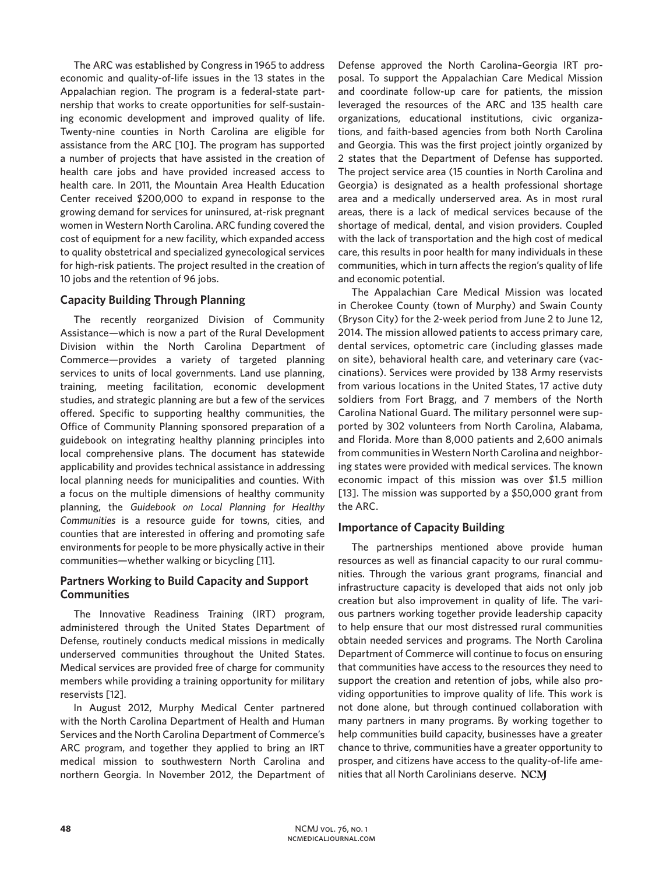The ARC was established by Congress in 1965 to address economic and quality-of-life issues in the 13 states in the Appalachian region. The program is a federal-state partnership that works to create opportunities for self-sustaining economic development and improved quality of life. Twenty-nine counties in North Carolina are eligible for assistance from the ARC [10]. The program has supported a number of projects that have assisted in the creation of health care jobs and have provided increased access to health care. In 2011, the Mountain Area Health Education Center received \$200,000 to expand in response to the growing demand for services for uninsured, at-risk pregnant women in Western North Carolina. ARC funding covered the cost of equipment for a new facility, which expanded access to quality obstetrical and specialized gynecological services for high-risk patients. The project resulted in the creation of 10 jobs and the retention of 96 jobs.

# **Capacity Building Through Planning**

The recently reorganized Division of Community Assistance—which is now a part of the Rural Development Division within the North Carolina Department of Commerce—provides a variety of targeted planning services to units of local governments. Land use planning, training, meeting facilitation, economic development studies, and strategic planning are but a few of the services offered. Specific to supporting healthy communities, the Office of Community Planning sponsored preparation of a guidebook on integrating healthy planning principles into local comprehensive plans. The document has statewide applicability and provides technical assistance in addressing local planning needs for municipalities and counties. With a focus on the multiple dimensions of healthy community planning, the *Guidebook on Local Planning for Healthy Communities* is a resource guide for towns, cities, and counties that are interested in offering and promoting safe environments for people to be more physically active in their communities—whether walking or bicycling [11].

## **Partners Working to Build Capacity and Support Communities**

The Innovative Readiness Training (IRT) program, administered through the United States Department of Defense, routinely conducts medical missions in medically underserved communities throughout the United States. Medical services are provided free of charge for community members while providing a training opportunity for military reservists [12].

In August 2012, Murphy Medical Center partnered with the North Carolina Department of Health and Human Services and the North Carolina Department of Commerce's ARC program, and together they applied to bring an IRT medical mission to southwestern North Carolina and northern Georgia. In November 2012, the Department of Defense approved the North Carolina–Georgia IRT proposal. To support the Appalachian Care Medical Mission and coordinate follow-up care for patients, the mission leveraged the resources of the ARC and 135 health care organizations, educational institutions, civic organizations, and faith-based agencies from both North Carolina and Georgia. This was the first project jointly organized by 2 states that the Department of Defense has supported. The project service area (15 counties in North Carolina and Georgia) is designated as a health professional shortage area and a medically underserved area. As in most rural areas, there is a lack of medical services because of the shortage of medical, dental, and vision providers. Coupled with the lack of transportation and the high cost of medical care, this results in poor health for many individuals in these communities, which in turn affects the region's quality of life and economic potential.

The Appalachian Care Medical Mission was located in Cherokee County (town of Murphy) and Swain County (Bryson City) for the 2-week period from June 2 to June 12, 2014. The mission allowed patients to access primary care, dental services, optometric care (including glasses made on site), behavioral health care, and veterinary care (vaccinations). Services were provided by 138 Army reservists from various locations in the United States, 17 active duty soldiers from Fort Bragg, and 7 members of the North Carolina National Guard. The military personnel were supported by 302 volunteers from North Carolina, Alabama, and Florida. More than 8,000 patients and 2,600 animals from communities in Western North Carolina and neighboring states were provided with medical services. The known economic impact of this mission was over \$1.5 million [13]. The mission was supported by a \$50,000 grant from the ARC.

## **Importance of Capacity Building**

The partnerships mentioned above provide human resources as well as financial capacity to our rural communities. Through the various grant programs, financial and infrastructure capacity is developed that aids not only job creation but also improvement in quality of life. The various partners working together provide leadership capacity to help ensure that our most distressed rural communities obtain needed services and programs. The North Carolina Department of Commerce will continue to focus on ensuring that communities have access to the resources they need to support the creation and retention of jobs, while also providing opportunities to improve quality of life. This work is not done alone, but through continued collaboration with many partners in many programs. By working together to help communities build capacity, businesses have a greater chance to thrive, communities have a greater opportunity to prosper, and citizens have access to the quality-of-life amenities that all North Carolinians deserve. NCM